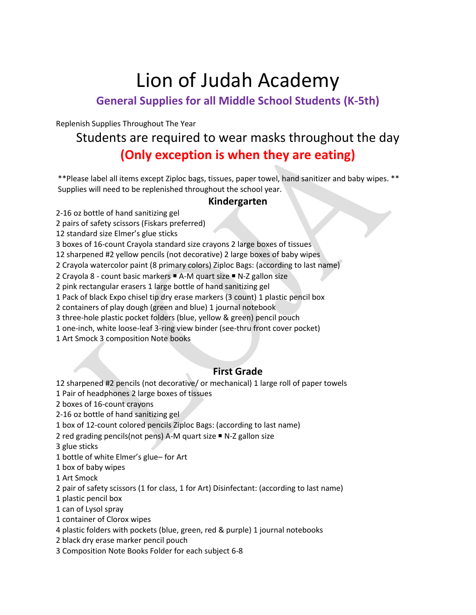# Lion of Judah Academy

### **General Supplies for all Middle School Students (K-5th)**

Replenish Supplies Throughout The Year

## Students are required to wear masks throughout the day **(Only exception is when they are eating)**

\*\*Please label all items except Ziploc bags, tissues, paper towel, hand sanitizer and baby wipes. \*\* Supplies will need to be replenished throughout the school year.

#### **Kindergarten**

2-16 oz bottle of hand sanitizing gel

2 pairs of safety scissors (Fiskars preferred)

12 standard size Elmer's glue sticks

3 boxes of 16-count Crayola standard size crayons 2 large boxes of tissues

12 sharpened #2 yellow pencils (not decorative) 2 large boxes of baby wipes

2 Crayola watercolor paint (8 primary colors) Ziploc Bags: (according to last name)

2 Crayola 8 - count basic markers ■ A-M quart size ■ N-Z gallon size

2 pink rectangular erasers 1 large bottle of hand sanitizing gel

1 Pack of black Expo chisel tip dry erase markers (3 count) 1 plastic pencil box

2 containers of play dough (green and blue) 1 journal notebook

3 three-hole plastic pocket folders (blue, yellow & green) pencil pouch

1 one-inch, white loose-leaf 3-ring view binder (see-thru front cover pocket)

1 Art Smock 3 composition Note books

#### **First Grade**

12 sharpened #2 pencils (not decorative/ or mechanical) 1 large roll of paper towels

1 Pair of headphones 2 large boxes of tissues

2 boxes of 16-count crayons

2-16 oz bottle of hand sanitizing gel

1 box of 12-count colored pencils Ziploc Bags: (according to last name)

2 red grading pencils(not pens) A-M quart size ■ N-Z gallon size

3 glue sticks

1 bottle of white Elmer's glue– for Art

1 box of baby wipes

1 Art Smock

2 pair of safety scissors (1 for class, 1 for Art) Disinfectant: (according to last name)

1 plastic pencil box

1 can of Lysol spray

1 container of Clorox wipes

4 plastic folders with pockets (blue, green, red & purple) 1 journal notebooks

2 black dry erase marker pencil pouch

3 Composition Note Books Folder for each subject 6-8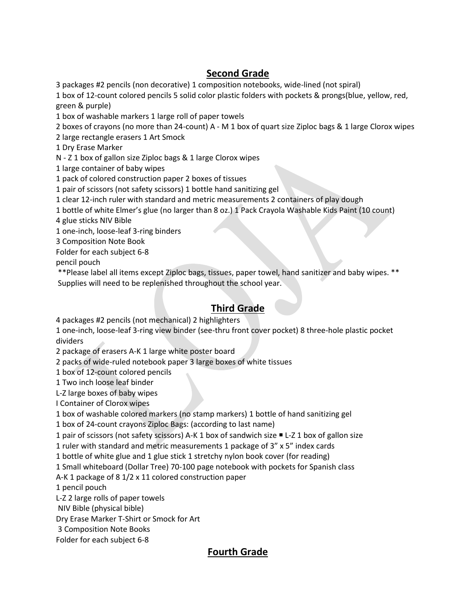#### **Second Grade**

3 packages #2 pencils (non decorative) 1 composition notebooks, wide-lined (not spiral)

1 box of 12-count colored pencils 5 solid color plastic folders with pockets & prongs(blue, yellow, red, green & purple)

1 box of washable markers 1 large roll of paper towels

2 boxes of crayons (no more than 24-count) A - M 1 box of quart size Ziploc bags & 1 large Clorox wipes

2 large rectangle erasers 1 Art Smock

1 Dry Erase Marker

N - Z 1 box of gallon size Ziploc bags & 1 large Clorox wipes

1 large container of baby wipes

1 pack of colored construction paper 2 boxes of tissues

1 pair of scissors (not safety scissors) 1 bottle hand sanitizing gel

1 clear 12-inch ruler with standard and metric measurements 2 containers of play dough

1 bottle of white Elmer's glue (no larger than 8 oz.) 1 Pack Crayola Washable Kids Paint (10 count)

4 glue sticks NIV Bible

1 one-inch, loose-leaf 3-ring binders

3 Composition Note Book

Folder for each subject 6-8

pencil pouch

\*\*Please label all items except Ziploc bags, tissues, paper towel, hand sanitizer and baby wipes. \*\* Supplies will need to be replenished throughout the school year.

#### **Third Grade**

4 packages #2 pencils (not mechanical) 2 highlighters

1 one-inch, loose-leaf 3-ring view binder (see-thru front cover pocket) 8 three-hole plastic pocket dividers

2 package of erasers A-K 1 large white poster board

2 packs of wide-ruled notebook paper 3 large boxes of white tissues

1 box of 12-count colored pencils

1 Two inch loose leaf binder

L-Z large boxes of baby wipes

I Container of Clorox wipes

1 box of washable colored markers (no stamp markers) 1 bottle of hand sanitizing gel

1 box of 24-count crayons Ziploc Bags: (according to last name)

1 pair of scissors (not safety scissors) A-K 1 box of sandwich size ■ L-Z 1 box of gallon size

1 ruler with standard and metric measurements 1 package of 3" x 5" index cards

1 bottle of white glue and 1 glue stick 1 stretchy nylon book cover (for reading)

1 Small whiteboard (Dollar Tree) 70-100 page notebook with pockets for Spanish class

A-K 1 package of 8 1/2 x 11 colored construction paper

1 pencil pouch

L-Z 2 large rolls of paper towels

NIV Bible (physical bible)

Dry Erase Marker T-Shirt or Smock for Art

3 Composition Note Books

Folder for each subject 6-8

#### **Fourth Grade**